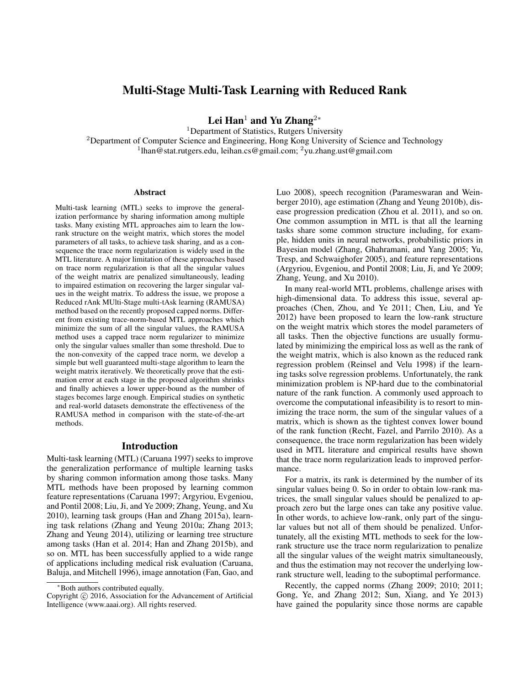# Multi-Stage Multi-Task Learning with Reduced Rank

Lei Han<sup>1</sup> and Yu Zhang<sup>2</sup><sup>∗</sup>

<sup>1</sup>Department of Statistics, Rutgers University <sup>2</sup>Department of Computer Science and Engineering, Hong Kong University of Science and Technology <sup>1</sup>lhan@stat.rutgers.edu, leihan.cs@gmail.com; <sup>2</sup>yu.zhang.ust@gmail.com

#### Abstract

Multi-task learning (MTL) seeks to improve the generalization performance by sharing information among multiple tasks. Many existing MTL approaches aim to learn the lowrank structure on the weight matrix, which stores the model parameters of all tasks, to achieve task sharing, and as a consequence the trace norm regularization is widely used in the MTL literature. A major limitation of these approaches based on trace norm regularization is that all the singular values of the weight matrix are penalized simultaneously, leading to impaired estimation on recovering the larger singular values in the weight matrix. To address the issue, we propose a Reduced rAnk MUlti-Stage multi-tAsk learning (RAMUSA) method based on the recently proposed capped norms. Different from existing trace-norm-based MTL approaches which minimize the sum of all the singular values, the RAMUSA method uses a capped trace norm regularizer to minimize only the singular values smaller than some threshold. Due to the non-convexity of the capped trace norm, we develop a simple but well guaranteed multi-stage algorithm to learn the weight matrix iteratively. We theoretically prove that the estimation error at each stage in the proposed algorithm shrinks and finally achieves a lower upper-bound as the number of stages becomes large enough. Empirical studies on synthetic and real-world datasets demonstrate the effectiveness of the RAMUSA method in comparison with the state-of-the-art methods.

# Introduction

Multi-task learning (MTL) (Caruana 1997) seeks to improve the generalization performance of multiple learning tasks by sharing common information among those tasks. Many MTL methods have been proposed by learning common feature representations (Caruana 1997; Argyriou, Evgeniou, and Pontil 2008; Liu, Ji, and Ye 2009; Zhang, Yeung, and Xu 2010), learning task groups (Han and Zhang 2015a), learning task relations (Zhang and Yeung 2010a; Zhang 2013; Zhang and Yeung 2014), utilizing or learning tree structure among tasks (Han et al. 2014; Han and Zhang 2015b), and so on. MTL has been successfully applied to a wide range of applications including medical risk evaluation (Caruana, Baluja, and Mitchell 1996), image annotation (Fan, Gao, and

Luo 2008), speech recognition (Parameswaran and Weinberger 2010), age estimation (Zhang and Yeung 2010b), disease progression predication (Zhou et al. 2011), and so on. One common assumption in MTL is that all the learning tasks share some common structure including, for example, hidden units in neural networks, probabilistic priors in Bayesian model (Zhang, Ghahramani, and Yang 2005; Yu, Tresp, and Schwaighofer 2005), and feature representations (Argyriou, Evgeniou, and Pontil 2008; Liu, Ji, and Ye 2009; Zhang, Yeung, and Xu 2010).

In many real-world MTL problems, challenge arises with high-dimensional data. To address this issue, several approaches (Chen, Zhou, and Ye 2011; Chen, Liu, and Ye 2012) have been proposed to learn the low-rank structure on the weight matrix which stores the model parameters of all tasks. Then the objective functions are usually formulated by minimizing the empirical loss as well as the rank of the weight matrix, which is also known as the reduced rank regression problem (Reinsel and Velu 1998) if the learning tasks solve regression problems. Unfortunately, the rank minimization problem is NP-hard due to the combinatorial nature of the rank function. A commonly used approach to overcome the computational infeasibility is to resort to minimizing the trace norm, the sum of the singular values of a matrix, which is shown as the tightest convex lower bound of the rank function (Recht, Fazel, and Parrilo 2010). As a consequence, the trace norm regularization has been widely used in MTL literature and empirical results have shown that the trace norm regularization leads to improved performance.

For a matrix, its rank is determined by the number of its singular values being 0. So in order to obtain low-rank matrices, the small singular values should be penalized to approach zero but the large ones can take any positive value. In other words, to achieve low-rank, only part of the singular values but not all of them should be penalized. Unfortunately, all the existing MTL methods to seek for the lowrank structure use the trace norm regularization to penalize all the singular values of the weight matrix simultaneously, and thus the estimation may not recover the underlying lowrank structure well, leading to the suboptimal performance.

Recently, the capped norms (Zhang 2009; 2010; 2011; Gong, Ye, and Zhang 2012; Sun, Xiang, and Ye 2013) have gained the popularity since those norms are capable

<sup>∗</sup>Both authors contributed equally.

Copyright © 2016, Association for the Advancement of Artificial Intelligence (www.aaai.org). All rights reserved.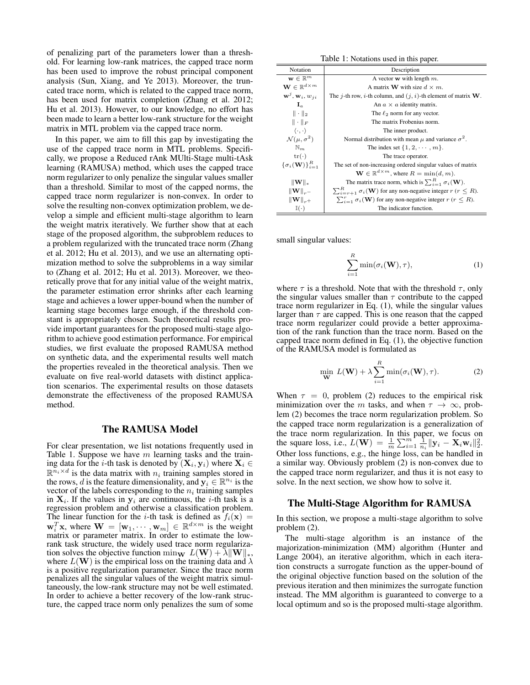of penalizing part of the parameters lower than a threshold. For learning low-rank matrices, the capped trace norm has been used to improve the robust principal component analysis (Sun, Xiang, and Ye 2013). Moreover, the truncated trace norm, which is related to the capped trace norm, has been used for matrix completion (Zhang et al. 2012; Hu et al. 2013). However, to our knowledge, no effort has been made to learn a better low-rank structure for the weight matrix in MTL problem via the capped trace norm.

In this paper, we aim to fill this gap by investigating the use of the capped trace norm in MTL problems. Specifically, we propose a Reduced rAnk MUlti-Stage multi-tAsk learning (RAMUSA) method, which uses the capped trace norm regularizer to only penalize the singular values smaller than a threshold. Similar to most of the capped norms, the capped trace norm regularizer is non-convex. In order to solve the resulting non-convex optimization problem, we develop a simple and efficient multi-stage algorithm to learn the weight matrix iteratively. We further show that at each stage of the proposed algorithm, the subproblem reduces to a problem regularized with the truncated trace norm (Zhang et al. 2012; Hu et al. 2013), and we use an alternating optimization method to solve the subproblems in a way similar to (Zhang et al. 2012; Hu et al. 2013). Moreover, we theoretically prove that for any initial value of the weight matrix, the parameter estimation error shrinks after each learning stage and achieves a lower upper-bound when the number of learning stage becomes large enough, if the threshold constant is appropriately chosen. Such theoretical results provide important guarantees for the proposed multi-stage algorithm to achieve good estimation performance. For empirical studies, we first evaluate the proposed RAMUSA method on synthetic data, and the experimental results well match the properties revealed in the theoretical analysis. Then we evaluate on five real-world datasets with distinct application scenarios. The experimental results on those datasets demonstrate the effectiveness of the proposed RAMUSA method.

# The RAMUSA Model

For clear presentation, we list notations frequently used in Table 1. Suppose we have  $m$  learning tasks and the training data for the *i*-th task is denoted by  $(\mathbf{X}_i, \mathbf{y}_i)$  where  $\mathbf{X}_i \in$  $\mathbb{R}^{n_i \times d}$  is the data matrix with  $n_i$  training samples stored in the rows, d is the feature dimensionality, and  $y_i \in \mathbb{R}^{n_i}$  is the vector of the labels corresponding to the  $n_i$  training samples in  $X_i$ . If the values in  $y_i$  are continuous, the *i*-th task is a regression problem and otherwise a classification problem. The linear function for the *i*-th task is defined as  $f_i(\mathbf{x}) =$  $\mathbf{w}_i^T \mathbf{x}$ , where  $\mathbf{W} = [\mathbf{w}_1, \cdots, \mathbf{w}_m] \in \mathbb{R}^{d \times m}$  is the weight matrix or parameter matrix. In order to estimate the lowrank task structure, the widely used trace norm regularization solves the objective function min<sub>W</sub>  $L(\mathbf{W}) + \lambda ||\mathbf{W}||_*$ , where  $L(\mathbf{W})$  is the empirical loss on the training data and  $\lambda$ is a positive regularization parameter. Since the trace norm penalizes all the singular values of the weight matrix simultaneously, the low-rank structure may not be well estimated. In order to achieve a better recovery of the low-rank structure, the capped trace norm only penalizes the sum of some

Table 1: Notations used in this paper.

| Notation                                   | Description                                                                           |  |  |
|--------------------------------------------|---------------------------------------------------------------------------------------|--|--|
| $\mathbf{w} \in \mathbb{R}^m$              | A vector <b>w</b> with length $m$ .                                                   |  |  |
| $\mathbf{W} \in \mathbb{R}^{d \times m}$   | A matrix <b>W</b> with size $d \times m$ .                                            |  |  |
| $\mathbf{w}^j$ , $\mathbf{w}_i$ , $w_{ji}$ | The j-th row, i-th column, and $(j, i)$ -th element of matrix <b>W</b> .              |  |  |
| $\mathbf{I}_a$                             | An $a \times a$ identity matrix.                                                      |  |  |
| $\ \cdot\ _2$                              | The $\ell_2$ norm for any vector.                                                     |  |  |
| $\ \cdot\ _F$                              | The matrix Frobenius norm.                                                            |  |  |
| $\langle \cdot, \cdot \rangle$             | The inner product.                                                                    |  |  |
| $\mathcal{N}(\mu, \sigma^2)$               | Normal distribution with mean $\mu$ and variance $\sigma^2$ .                         |  |  |
| $\mathbb{N}_{m}$                           | The index set $\{1, 2, \cdots, m\}$ .                                                 |  |  |
| $tr(\cdot)$                                | The trace operator.                                                                   |  |  |
| $\{\sigma_i(\mathbf{W})\}_{i=1}^R$         | The set of non-increasing ordered singular values of matrix                           |  |  |
|                                            | $\mathbf{W} \in \mathbb{R}^{d \times m}$ , where $R = \min(d, m)$ .                   |  |  |
| $\ \mathbf{W}\ _*$                         | The matrix trace norm, which is $\sum_{i=1}^{R} \sigma_i(\mathbf{W})$ .               |  |  |
| $\ \mathbf{W}\ _{r}$                       | $\sum_{i=r+1}^{R} \sigma_i(\mathbf{W})$ for any non-negative integer $r (r \leq R)$ . |  |  |
| $\ \mathbf{W}\ _{n+1}$                     | $\sum_{i=1}^r \sigma_i(\mathbf{W})$ for any non-negative integer $r (r \leq R)$ .     |  |  |
| $\mathbb{I}(\cdot)$                        | The indicator function.                                                               |  |  |

small singular values:

$$
\sum_{i=1}^{R} \min(\sigma_i(\mathbf{W}), \tau), \tag{1}
$$

where  $\tau$  is a threshold. Note that with the threshold  $\tau$ , only the singular values smaller than  $\tau$  contribute to the capped trace norm regularizer in Eq. (1), while the singular values larger than  $\tau$  are capped. This is one reason that the capped trace norm regularizer could provide a better approximation of the rank function than the trace norm. Based on the capped trace norm defined in Eq. (1), the objective function of the RAMUSA model is formulated as

$$
\min_{\mathbf{W}} L(\mathbf{W}) + \lambda \sum_{i=1}^{R} \min(\sigma_i(\mathbf{W}), \tau).
$$
 (2)

When  $\tau = 0$ , problem (2) reduces to the empirical risk minimization over the m tasks, and when  $\tau \to \infty$ , problem (2) becomes the trace norm regularization problem. So the capped trace norm regularization is a generalization of the trace norm regularization. In this paper, we focus on the square loss, i.e.,  $L(\mathbf{W}) = \frac{1}{m} \sum_{i=1}^{m} \frac{1}{n_i} ||\mathbf{y}_i - \mathbf{X}_i \mathbf{w}_i||_2^2$ . Other loss functions, e.g., the hinge loss, can be handled in a similar way. Obviously problem (2) is non-convex due to the capped trace norm regularizer, and thus it is not easy to solve. In the next section, we show how to solve it.

# The Multi-Stage Algorithm for RAMUSA

In this section, we propose a multi-stage algorithm to solve problem (2).

The multi-stage algorithm is an instance of the majorization-minimization (MM) algorithm (Hunter and Lange 2004), an iterative algorithm, which in each iteration constructs a surrogate function as the upper-bound of the original objective function based on the solution of the previous iteration and then minimizes the surrogate function instead. The MM algorithm is guaranteed to converge to a local optimum and so is the proposed multi-stage algorithm.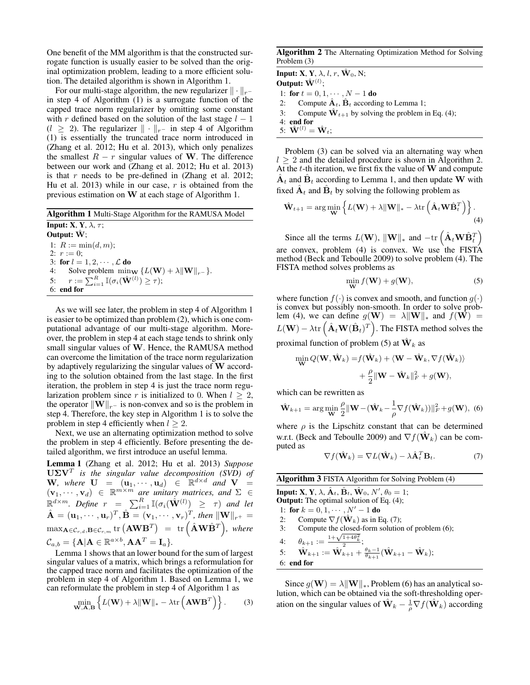One benefit of the MM algorithm is that the constructed surrogate function is usually easier to be solved than the original optimization problem, leading to a more efficient solution. The detailed algorithm is shown in Algorithm 1.

For our multi-stage algorithm, the new regularizer  $\|\cdot\|_{r-1}$ in step 4 of Algorithm (1) is a surrogate function of the capped trace norm regularizer by omitting some constant with r defined based on the solution of the last stage  $l - 1$  $(l \ge 2)$ . The regularizer  $\|\cdot\|_{r-}$  in step 4 of Algorithm (1) is essentially the truncated trace norm introduced in (Zhang et al. 2012; Hu et al. 2013), which only penalizes the smallest  $R - r$  singular values of W. The difference between our work and (Zhang et al. 2012; Hu et al. 2013) is that  $r$  needs to be pre-defined in (Zhang et al. 2012; Hu et al. 2013) while in our case,  $r$  is obtained from the previous estimation on W at each stage of Algorithm 1.

Algorithm 1 Multi-Stage Algorithm for the RAMUSA Model Input: X, Y,  $\lambda$ ,  $\tau$ ; Output:  $\hat{W}$ ; 1:  $R := min(d, m);$ 2:  $r := 0$ ; 3: for  $l = 1, 2, \dots, \mathcal{L}$  do<br>4: Solve problem min-4: Solve problem  $\min_{\mathbf{W}} \{L(\mathbf{W}) + \lambda \|\mathbf{W}\|_{r-}\}.$ 5:  $r := \sum_{i=1}^R \mathbb{I}(\sigma_i(\hat{\mathbf{W}}^{(l)}) \geq \tau);$ 6: end for

As we will see later, the problem in step 4 of Algorithm 1 is easier to be optimized than problem (2), which is one computational advantage of our multi-stage algorithm. Moreover, the problem in step 4 at each stage tends to shrink only small singular values of W. Hence, the RAMUSA method can overcome the limitation of the trace norm regularization by adaptively regularizing the singular values of W according to the solution obtained from the last stage. In the first iteration, the problem in step 4 is just the trace norm regularization problem since r is initialized to 0. When  $l \geq 2$ , the operator  $\|\mathbf{W}\|_{r^{-}}$  is non-convex and so is the problem in step 4. Therefore, the key step in Algorithm 1 is to solve the problem in step 4 efficiently when  $l \geq 2$ .

Next, we use an alternating optimization method to solve the problem in step 4 efficiently. Before presenting the detailed algorithm, we first introduce an useful lemma.

Lemma 1 (Zhang et al. 2012; Hu et al. 2013) *Suppose* UΣV<sup>T</sup> *is the singular value decomposition (SVD) of*  $\mathbf{W}$ , where  $\mathbf{U} = (\mathbf{u}_1, \cdots, \mathbf{u}_d) \in \mathbb{R}^{d \times d}$  and  $\mathbf{V} =$  $(v_1, \dots, v_d) \in \mathbb{R}^{m \times m}$  are unitary matrices, and  $\Sigma \in$  $\mathbb{R}^{d \times m}$ *. Define*  $r = \sum_{i=1}^{R} \mathbb{I}(\sigma_i(\hat{\mathbf{W}}^{(l)}) \geq \tau)$  and let  $\hat{\mathbf{A}} = (\mathbf{u}_1, \cdots, \mathbf{u}_r)^T, \hat{\mathbf{B}} = (\mathbf{v}_1, \cdots, \mathbf{v}_r)^T$ , then  $\|\mathbf{W}\|_{r^+} =$  $\max_{\mathbf{A}\in\mathcal{C}_{r,d},\mathbf{B}\in\mathcal{C}_{r,m}}\text{tr}\left(\mathbf{A}\mathbf{W}\mathbf{B}^{T}\right) \;=\; \text{tr}\left(\hat{\mathbf{A}}\mathbf{W}\hat{\mathbf{B}}^{T}\right) \! , \; \textit{where}$  $\mathcal{C}_{a,b} = \{ \mathbf{A} | \mathbf{A} \in \mathbb{R}^{a \times b}, \mathbf{A} \mathbf{A}^T = \mathbf{I}_a \}.$ 

Lemma 1 shows that an lower bound for the sum of largest singular values of a matrix, which brings a reformulation for the capped trace norm and facilitates the optimization of the problem in step 4 of Algorithm 1. Based on Lemma 1, we can reformulate the problem in step 4 of Algorithm 1 as

$$
\min_{\mathbf{W}, \mathbf{A}, \mathbf{B}} \left\{ L(\mathbf{W}) + \lambda \|\mathbf{W}\|_{*} - \lambda \text{tr}\left(\mathbf{A}\mathbf{W}\mathbf{B}^{T}\right) \right\}.
$$
 (3)

Algorithm 2 The Alternating Optimization Method for Solving Problem (3)

**Input: X, Y,**  $\lambda$ , l, r,  $\hat{\mathbf{W}}_0$ , N; Output:  $\hat{\mathbf{W}}^{(l)}$ ; 1: for  $t = 0, 1, \cdots, N - 1$  do 2: Compute  $\hat{A}_t$ ,  $\hat{B}_t$  according to Lemma 1; 3: Compute  $\hat{\mathbf{W}}_{t+1}$  by solving the problem in Eq. (4); 4: end for 5:  $\hat{\mathbf{W}}^{(l)} = \hat{\mathbf{W}}_t$ :

Problem (3) can be solved via an alternating way when  $l \geq 2$  and the detailed procedure is shown in Algorithm 2. At the  $t$ -th iteration, we first fix the value of  $W$  and compute  $\hat{\mathbf{A}}_t$  and  $\hat{\mathbf{B}}_t$  according to Lemma 1, and then update W with fixed  $\hat{A}_t$  and  $\hat{B}_t$  by solving the following problem as

$$
\hat{\mathbf{W}}_{t+1} = \arg\min_{\mathbf{W}} \left\{ L(\mathbf{W}) + \lambda \|\mathbf{W}\|_{*} - \lambda \text{tr} \left( \hat{\mathbf{A}}_{t} \mathbf{W} \hat{\mathbf{B}}_{t}^{T} \right) \right\}.
$$
\n(4)

Since all the terms  $L(\mathbf{W})$ ,  $\|\mathbf{W}\|_{*}$  and  $-\text{tr}\left(\hat{\mathbf{A}}_{t}\mathbf{W}\hat{\mathbf{B}}_{t}^{T}\right)$ are convex, problem  $(4)$  is convex. We use the FISTA method (Beck and Teboulle 2009) to solve problem (4). The FISTA method solves problems as

$$
\min_{\mathbf{W}} f(\mathbf{W}) + g(\mathbf{W}),
$$
\n(5)

where function  $f(\cdot)$  is convex and smooth, and function  $g(\cdot)$ is convex but possibly non-smooth. In order to solve problem (4), we can define  $g(\mathbf{W}) = \lambda ||\mathbf{W}||_*$  and  $f(\mathbf{W}) =$  $L(\mathbf{W}) - \lambda \text{tr} \left( \hat{\mathbf{A}}_t \mathbf{W}(\hat{\mathbf{B}}_t)^T \right)$ . The FISTA method solves the proximal function of problem (5) at  $\hat{\mathbf{W}}_k$  as

$$
\begin{aligned} \min_{\mathbf{W}} Q(\mathbf{W}, \hat{\mathbf{W}}_k) =& f(\hat{\mathbf{W}}_k) + \langle \mathbf{W} - \hat{\mathbf{W}}_k, \nabla f(\hat{\mathbf{W}}_k) \rangle \\ &+ \frac{\rho}{2} ||\mathbf{W} - \hat{\mathbf{W}}_k||_F^2 + g(\mathbf{W}), \end{aligned}
$$

which can be rewritten as

$$
\hat{\mathbf{W}}_{k+1} = \arg\min_{\mathbf{W}} \frac{\rho}{2} ||\mathbf{W} - (\hat{\mathbf{W}}_k - \frac{1}{\rho} \nabla f(\hat{\mathbf{W}}_k))||_F^2 + g(\mathbf{W}), \tag{6}
$$

where  $\rho$  is the Lipschitz constant that can be determined w.r.t. (Beck and Teboulle 2009) and  $\nabla f(\hat{\mathbf{W}}_k)$  can be computed as

$$
\nabla f(\hat{\mathbf{W}}_k) = \nabla L(\hat{\mathbf{W}}_k) - \lambda \hat{\mathbf{A}}_t^T \mathbf{B}_t.
$$
 (7)

|    | <b>Algorithm 3 FISTA Algorithm for Solving Problem (4)</b>                                                                               |  |  |  |
|----|------------------------------------------------------------------------------------------------------------------------------------------|--|--|--|
|    | <b>Input: X</b> , <b>Y</b> , $\lambda$ , $\hat{\mathbf{A}}_t$ , $\hat{\mathbf{B}}_t$ , $\hat{\mathbf{W}}_0$ , $N'$ , $\theta_0 = 1$ ;    |  |  |  |
|    | <b>Output:</b> The optimal solution of Eq. $(4)$ ;                                                                                       |  |  |  |
|    | 1: for $k = 0, 1, \cdots, N' - 1$ do                                                                                                     |  |  |  |
| 2: | Compute $\nabla f(\mathbf{W}_k)$ as in Eq. (7);                                                                                          |  |  |  |
| 3: | Compute the closed-form solution of problem (6);                                                                                         |  |  |  |
|    | 4: $\theta_{k+1} := \frac{1 + \sqrt{1 + 4\theta_k^2}}{2};$                                                                               |  |  |  |
|    | 5: $\hat{\mathbf{W}}_{k+1} := \hat{\mathbf{W}}_{k+1} + \frac{\theta_k - 1}{\theta_{k+1}} (\hat{\mathbf{W}}_{k+1} - \hat{\mathbf{W}}_k);$ |  |  |  |
|    | $6:$ end for                                                                                                                             |  |  |  |

Since  $g(\mathbf{W}) = \lambda \|\mathbf{W}\|_*$ , Problem (6) has an analytical solution, which can be obtained via the soft-thresholding operation on the singular values of  $\hat{\mathbf{W}}_k - \frac{1}{\rho} \nabla f(\hat{\mathbf{W}}_k)$  according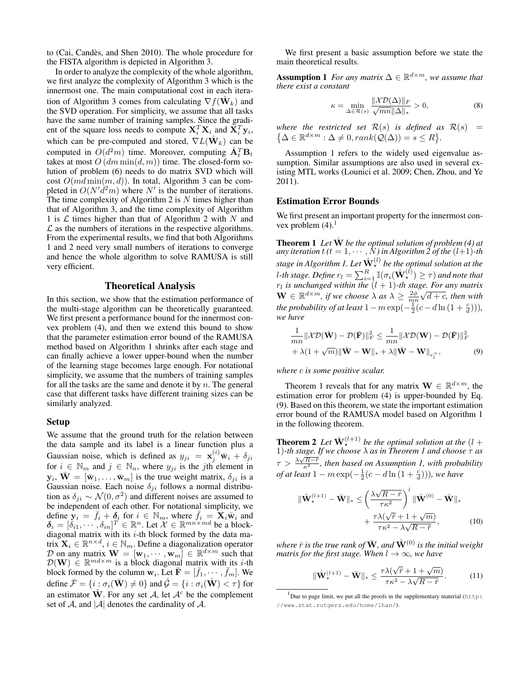to (Cai, Candes, and Shen 2010). The whole procedure for ` the FISTA algorithm is depicted in Algorithm 3.

In order to analyze the complexity of the whole algorithm, we first analyze the complexity of Algorithm 3 which is the innermost one. The main computational cost in each iteration of Algorithm 3 comes from calculating  $\nabla f(\hat{\mathbf{W}}_k)$  and the SVD operation. For simplicity, we assume that all tasks have the same number of training samples. Since the gradient of the square loss needs to compute  $\mathbf{X}_i^T \mathbf{X}_i$  and  $\bar{\mathbf{X}}_i^T \mathbf{y}_i$ , which can be pre-computed and stored,  $\nabla L(\hat{\mathbf{W}}_k)$  can be computed in  $O(d^2m)$  time. Moreover, computing  $\hat{\mathbf{A}}_t^T \mathbf{B}_t$ takes at most  $O(dm \min(d, m))$  time. The closed-form solution of problem (6) needs to do matrix SVD which will cost  $O(md \min(m, d))$ . In total, Algorithm 3 can be completed in  $O(N'd^2m)$  where N' is the number of iterations. The time complexity of Algorithm 2 is  $N$  times higher than that of Algorithm 3, and the time complexity of Algorithm 1 is  $\mathcal L$  times higher than that of Algorithm 2 with N and  $\mathcal L$  as the numbers of iterations in the respective algorithms. From the experimental results, we find that both Algorithms 1 and 2 need very small numbers of iterations to converge and hence the whole algorithm to solve RAMUSA is still very efficient.

# Theoretical Analysis

In this section, we show that the estimation performance of the multi-stage algorithm can be theoretically guaranteed. We first present a performance bound for the innermost convex problem (4), and then we extend this bound to show that the parameter estimation error bound of the RAMUSA method based on Algorithm 1 shrinks after each stage and can finally achieve a lower upper-bound when the number of the learning stage becomes large enough. For notational simplicity, we assume that the numbers of training samples for all the tasks are the same and denote it by  $n$ . The general case that different tasks have different training sizes can be similarly analyzed.

# Setup

We assume that the ground truth for the relation between the data sample and its label is a linear function plus a Gaussian noise, which is defined as  $y_{ji} = \mathbf{x}_j^{(i)} \bar{\mathbf{w}}_i + \delta_{ji}$ for  $i \in \mathbb{N}_m$  and  $j \in \mathbb{N}_n$ , where  $y_{ji}$  is the jth element in  $\mathbf{y}_i$ ,  $\bar{\mathbf{W}} = [\bar{\mathbf{w}}_1, \dots, \bar{\mathbf{w}}_m]$  is the true weight matrix,  $\delta_{ji}$  is a Gaussian noise. Each noise  $\delta_{ji}$  follows a normal distribution as  $\delta_{ji} \sim \mathcal{N}(0, \sigma^2)$  and different noises are assumed to be independent of each other. For notational simplicity, we define  $\mathbf{y}_i = \bar{f}_i + \delta_i$  for  $i \in \mathbb{N}_m$ , where  $\bar{f}_i = \mathbf{X}_i \overline{\mathbf{w}}_i$  and  $\delta_i = [\delta_{i1}, \cdots, \delta_{in}]^T \in \mathbb{R}^n$ . Let  $\mathcal{X} \in \mathbb{R}^{mn \times md}$  be a blockdiagonal matrix with its  $i$ -th block formed by the data matrix  $\mathbf{X}_i \in \mathbb{R}^{n \times d}$ ,  $i \in \mathbb{N}_m$ . Define a diagonalization operator D on any matrix  $\mathbf{W} = [\mathbf{w}_1, \dots, \mathbf{w}_m] \in \mathbb{R}^{d \times m}$  such that  $\mathcal{D}(\mathbf{W}) \in \mathbb{R}^{md \times m}$  is a block diagonal matrix with its *i*-th block formed by the column  $w_i$ . Let  $\bar{\mathbf{F}} = [\bar{f}_1, \cdots, \bar{f}_m]$ . We define  $\bar{\mathcal{F}} = \{i : \sigma_i(\bar{\mathbf{W}}) \neq 0\}$  and  $\hat{\mathcal{G}} = \{i : \sigma_i(\hat{\mathbf{W}}) < \tau\}$  for an estimator  $\hat{W}$ . For any set A, let  $A^c$  be the complement set of A, and  $|A|$  denotes the cardinality of A.

We first present a basic assumption before we state the main theoretical results.

**Assumption 1** For any matrix  $\Delta \in \mathbb{R}^{d \times m}$ , we assume that *there exist a constant*

$$
\kappa = \min_{\Delta \in \mathcal{R}(s)} \frac{\|\mathcal{X}\mathcal{D}(\Delta)\|_F}{\sqrt{mn}\|\Delta\|_*} > 0,
$$
\n(8)

*where the restricted set*  $\mathcal{R}(s)$  *is defined as*  $\mathcal{R}(s)$  =  $\{\Delta \in \mathbb{R}^{d \times m} : \Delta \neq 0, rank(Q(\Delta)) = s \leq R\}.$ 

Assumption 1 refers to the widely used eigenvalue assumption. Similar assumptions are also used in several existing MTL works (Lounici et al. 2009; Chen, Zhou, and Ye 2011).

## Estimation Error Bounds

We first present an important property for the innermost convex problem  $(4)$ .<sup>1</sup>

**Theorem 1** Let  $\hat{W}$  be the optimal solution of problem (4) at *any iteration*  $t$  ( $t = 1, \dots, N$ ) in Algorithm 2 of the  $(l+1)$ -th *stage in Algorithm 1. Let* Wˆ (l) ? *be the optimal solution at the* l-th stage. Define  $r_l = \sum_{i=1}^R \mathbb{I}(\sigma_i(\hat{\mathbf{W}}_{\star}^{(l)}) \geq \tau)$  and note that  $r_l$  is unchanged within the  $(l + 1)$ -th stage. For any matrix  $\mathbf{W} \in \mathbb{R}^{d \times m}$ , if we choose  $\lambda$  as  $\lambda \geq \frac{2\phi}{mn}$ √ d + c*, then with the probability of at least*  $1 - m \exp(-\frac{1}{2}(c - d \ln(1 + \frac{c}{d}))),$ *we have*

$$
\frac{1}{mn}||\mathcal{X}\mathcal{D}(\hat{\mathbf{W}}) - \mathcal{D}(\bar{\mathbf{F}})||_F^2 \le \frac{1}{mn}||\mathcal{X}\mathcal{D}(\mathbf{W}) - \mathcal{D}(\bar{\mathbf{F}})||_F^2 + \lambda(1 + \sqrt{m})||\hat{\mathbf{W}} - \mathbf{W}||_* + \lambda||\hat{\mathbf{W}} - \mathbf{W}||_{r_l^+},
$$
(9)

*where* c *is some positive scalar.*

Theorem 1 reveals that for any matrix  $\mathbf{W} \in \mathbb{R}^{d \times m}$ , the estimation error for problem (4) is upper-bounded by Eq. (9). Based on this theorem, we state the important estimation error bound of the RAMUSA model based on Algorithm 1 in the following theorem.

**Theorem 2** Let  $\hat{W}_{\star}^{(l+1)}$  be the optimal solution at the  $(l +$ 1)*-th stage. If we choose* λ *as in Theorem 1 and choose* τ *as*  $\tau > \frac{\lambda \sqrt{R-r}}{\kappa^2}$ , then based on Assumption 1, with probability *of at least*  $1 - m \exp(-\frac{1}{2}(c - d\ln(1 + \frac{c}{d}))),$  we have

$$
\|\hat{\mathbf{W}}_{\star}^{(l+1)} - \bar{\mathbf{W}}\|_{*} \leq \left(\frac{\lambda\sqrt{R-\bar{r}}}{\tau\kappa^{2}}\right)^{l} \|\hat{\mathbf{W}}^{(0)} - \bar{\mathbf{W}}\|_{*} + \frac{\tau\lambda(\sqrt{\bar{r}}+1+\sqrt{m})}{\tau\kappa^{2}-\lambda\sqrt{R-\bar{r}}},
$$
(10)

*where*  $\bar{r}$  *is the true rank of*  $\bar{W}$ *, and*  $\hat{W}^{(0)}$  *is the initial weight matrix for the first stage. When*  $l \rightarrow \infty$ *, we have* 

$$
\|\hat{\mathbf{W}}_{\star}^{(l+1)} - \bar{\mathbf{W}}\|_{*} \le \frac{\tau \lambda(\sqrt{\bar{r}} + 1 + \sqrt{m})}{\tau \kappa^{2} - \lambda \sqrt{R - \bar{r}}}.
$$
 (11)

<sup>&</sup>lt;sup>1</sup>Due to page limit, we put all the proofs in the supplementary material (http: //www.stat.rutgers.edu/home/lhan/).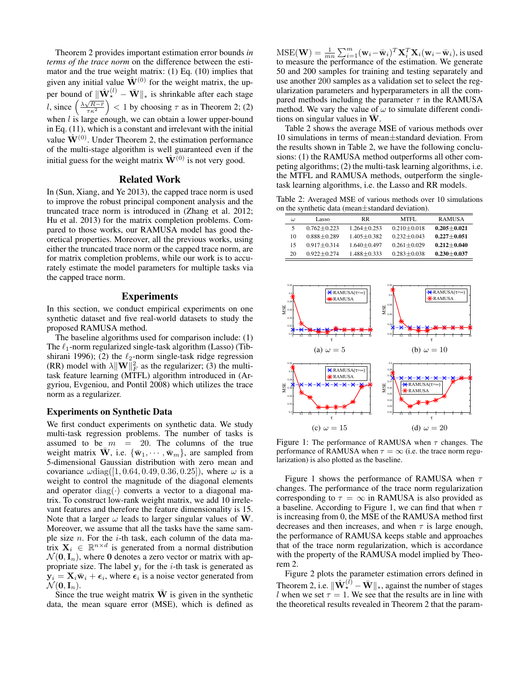Theorem 2 provides important estimation error bounds *in terms of the trace norm* on the difference between the estimator and the true weight matrix: (1) Eq. (10) implies that given any initial value  $\hat{W}^{(0)}$  for the weight matrix, the upper bound of  $\|\hat{\mathbf{W}}_{\star}^{(l)} - \bar{\mathbf{W}}\|_{*}$  is shrinkable after each stage *l*, since  $\left(\frac{\lambda \sqrt{R-r}}{r\kappa^2}\right)$  < 1 by choosing  $\tau$  as in Theorem 2; (2) when  $l$  is large enough, we can obtain a lower upper-bound in Eq. (11), which is a constant and irrelevant with the initial value  $\hat{\mathbf{W}}^{(0)}$ . Under Theorem 2, the estimation performance of the multi-stage algorithm is well guaranteed even if the initial guess for the weight matrix  $\hat{\mathbf{W}}^{(0)}$  is not very good.

## Related Work

In (Sun, Xiang, and Ye 2013), the capped trace norm is used to improve the robust principal component analysis and the truncated trace norm is introduced in (Zhang et al. 2012; Hu et al. 2013) for the matrix completion problems. Compared to those works, our RAMUSA model has good theoretical properties. Moreover, all the previous works, using either the truncated trace norm or the capped trace norm, are for matrix completion problems, while our work is to accurately estimate the model parameters for multiple tasks via the capped trace norm.

# Experiments

In this section, we conduct empirical experiments on one synthetic dataset and five real-world datasets to study the proposed RAMUSA method.

The baseline algorithms used for comparison include: (1) The  $\ell_1$ -norm regularized single-task algorithm (Lasso) (Tibshirani 1996); (2) the  $\ell_2$ -norm single-task ridge regression (RR) model with  $\lambda \|\mathbf{W}\|_F^2$  as the regularizer; (3) the multitask feature learning (MTFL) algorithm introduced in (Argyriou, Evgeniou, and Pontil 2008) which utilizes the trace norm as a regularizer.

#### Experiments on Synthetic Data

We first conduct experiments on synthetic data. We study multi-task regression problems. The number of tasks is assumed to be  $m = 20$ . The columns of the true weight matrix  $\overline{\mathbf{W}}$ , i.e.  $\{\overline{\mathbf{w}}_1, \cdots, \overline{\mathbf{w}}_m\}$ , are sampled from 5-dimensional Gaussian distribution with zero mean and covariance  $\omega$ diag([1, 0.64, 0.49, 0.36, 0.25]), where  $\omega$  is a weight to control the magnitude of the diagonal elements and operator  $diag(\cdot)$  converts a vector to a diagonal matrix. To construct low-rank weight matrix, we add 10 irrelevant features and therefore the feature dimensionality is 15. Note that a larger  $\omega$  leads to larger singular values of W. Moreover, we assume that all the tasks have the same sample size  $n$ . For the *i*-th task, each column of the data matrix  $X_i \in \mathbb{R}^{n \times d}$  is generated from a normal distribution  $\mathcal{N}(\mathbf{0}, \mathbf{I}_n)$ , where 0 denotes a zero vector or matrix with appropriate size. The label  $y_i$  for the *i*-th task is generated as  $y_i = X_i \bar{w}_i + \epsilon_i$ , where  $\epsilon_i$  is a noise vector generated from  $\mathcal{N}(\mathbf{0}, \mathbf{I}_n)$ .

Since the true weight matrix  $\overline{W}$  is given in the synthetic data, the mean square error (MSE), which is defined as

 $\text{MSE}(\mathbf{W}) = \frac{1}{mn} \sum_{i=1}^{m} (\mathbf{w}_i - \bar{\mathbf{w}}_i)^T \mathbf{X}_i^T \mathbf{X}_i (\mathbf{w}_i - \bar{\mathbf{w}}_i)$ , is used to measure the performance of the estimation. We generate 50 and 200 samples for training and testing separately and use another 200 samples as a validation set to select the regularization parameters and hyperparameters in all the compared methods including the parameter  $\tau$  in the RAMUSA method. We vary the value of  $\omega$  to simulate different conditions on singular values in  $W$ .

Table 2 shows the average MSE of various methods over 10 simulations in terms of mean±standard deviation. From the results shown in Table 2, we have the following conclusions: (1) the RAMUSA method outperforms all other competing algorithms; (2) the multi-task learning algorithms, i.e. the MTFL and RAMUSA methods, outperform the singletask learning algorithms, i.e. the Lasso and RR models.

Table 2: Averaged MSE of various methods over 10 simulations on the synthetic data (mean±standard deviation).

| ω  | Lasso           | <b>RR</b>       | MTFL.           | <b>RAMUSA</b>   |
|----|-----------------|-----------------|-----------------|-----------------|
| 5  | $0.762 + 0.223$ | $1.264 + 0.253$ | $0.210 + 0.018$ | $0.205 + 0.021$ |
| 10 | $0.888 + 0.289$ | $1.405 + 0.382$ | $0.232 + 0.043$ | $0.227 + 0.051$ |
| 15 | $0.917 + 0.314$ | $1.640 + 0.497$ | $0.261 + 0.029$ | $0.212 + 0.040$ |
| 20 | $0.922 + 0.274$ | $1.488 + 0.333$ | $0.283 + 0.038$ | $0.230 + 0.037$ |



Figure 1: The performance of RAMUSA when  $\tau$  changes. The performance of RAMUSA when  $\tau = \infty$  (i.e. the trace norm regularization) is also plotted as the baseline.

Figure 1 shows the performance of RAMUSA when  $\tau$ changes. The performance of the trace norm regularization corresponding to  $\tau = \infty$  in RAMUSA is also provided as a baseline. According to Figure 1, we can find that when  $\tau$ is increasing from 0, the MSE of the RAMUSA method first decreases and then increases, and when  $\tau$  is large enough, the performance of RAMUSA keeps stable and approaches that of the trace norm regularization, which is accordance with the property of the RAMUSA model implied by Theorem 2.

Figure 2 plots the parameter estimation errors defined in Theorem 2, i.e.  $\|\hat{\mathbf{W}}_{\star}^{(l)} - \bar{\mathbf{W}}\|_{*}$ , against the number of stages l when we set  $\tau = 1$ . We see that the results are in line with the theoretical results revealed in Theorem 2 that the param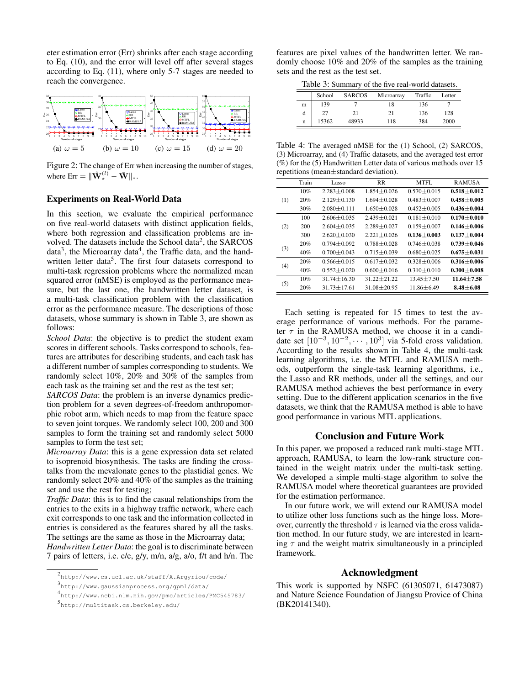eter estimation error (Err) shrinks after each stage according to Eq. (10), and the error will level off after several stages according to Eq. (11), where only 5-7 stages are needed to reach the convergence.



Figure 2: The change of Err when increasing the number of stages, where  ${\rm Err}=\|\hat{\mathbf{W}}_{\star}^{(l)}-\bar{\mathbf{W}}\|_{\ast}.$ 

# Experiments on Real-World Data

In this section, we evaluate the empirical performance on five real-world datasets with distinct application fields, where both regression and classification problems are involved. The datasets include the School data<sup>2</sup>, the SARCOS data<sup>3</sup>, the Microarray data<sup>4</sup>, the Traffic data, and the handwritten letter data<sup>5</sup>. The first four datasets correspond to multi-task regression problems where the normalized mean squared error (nMSE) is employed as the performance measure, but the last one, the handwritten letter dataset, is a multi-task classification problem with the classification error as the performance measure. The descriptions of those datasets, whose summary is shown in Table 3, are shown as follows:

*School Data*: the objective is to predict the student exam scores in different schools. Tasks correspond to schools, features are attributes for describing students, and each task has a different number of samples corresponding to students. We randomly select 10%, 20% and 30% of the samples from each task as the training set and the rest as the test set;

*SARCOS Data*: the problem is an inverse dynamics prediction problem for a seven degrees-of-freedom anthropomorphic robot arm, which needs to map from the feature space to seven joint torques. We randomly select 100, 200 and 300 samples to form the training set and randomly select 5000 samples to form the test set;

*Microarray Data*: this is a gene expression data set related to isoprenoid biosynthesis. The tasks are finding the crosstalks from the mevalonate genes to the plastidial genes. We randomly select 20% and 40% of the samples as the training set and use the rest for testing;

*Traffic Data*: this is to find the casual relationships from the entries to the exits in a highway traffic network, where each exit corresponds to one task and the information collected in entries is considered as the features shared by all the tasks. The settings are the same as those in the Microarray data; *Handwritten Letter Data*: the goal is to discriminate between 7 pairs of letters, i.e. c/e, g/y, m/n, a/g, a/o, f/t and h/n. The features are pixel values of the handwritten letter. We randomly choose 10% and 20% of the samples as the training sets and the rest as the test set.

Table 3: Summary of the five real-world datasets.

|   | School | <b>SARCOS</b> | Microarray | Traffic | Letter |
|---|--------|---------------|------------|---------|--------|
| m | 139    |               | 18         | 136     |        |
| d | 27     | 21            | 21         | 136     | 128    |
| n | 15362  | 48933         | 118        | 384     | 2000   |

Table 4: The averaged nMSE for the (1) School, (2) SARCOS, (3) Microarray, and (4) Traffic datasets, and the averaged test error (%) for the (5) Handwritten Letter data of various methods over 15 repetitions (mean±standard deviation).

|     | Train | Lasso             | <b>RR</b>       | MTFL              | <b>RAMUSA</b>   |
|-----|-------|-------------------|-----------------|-------------------|-----------------|
| (1) | 10%   | $2.283 + 0.008$   | $1.854 + 0.026$ | $0.570 + 0.015$   | $0.518 + 0.012$ |
|     | 20%   | $2.129 \pm 0.130$ | $1.694 + 0.028$ | $0.483 + 0.007$   | $0.458 + 0.005$ |
|     | 30%   | $2.080 \pm 0.111$ | $1.650 + 0.028$ | $0.452 \pm 0.005$ | $0.436 + 0.004$ |
| (2) | 100   | $2.606 + 0.035$   | $2.439 + 0.021$ | $0.181 + 0.010$   | $0.170\pm0.010$ |
|     | 200   | $2.604 + 0.035$   | $2.289 + 0.027$ | $0.159 + 0.007$   | $0.146 + 0.006$ |
|     | 300   | $2.620 + 0.030$   | $2.221 + 0.026$ | $0.136 + 0.003$   | $0.137 + 0.004$ |
| (3) | 20%   | $0.794 + 0.092$   | $0.788 + 0.028$ | $0.746 + 0.038$   | $0.739 + 0.046$ |
|     | 40%   | $0.700 + 0.043$   | $0.715 + 0.039$ | $0.680 + 0.025$   | $0.675 + 0.031$ |
| (4) | 20%   | $0.566 + 0.015$   | $0.617 + 0.032$ | $0.328 + 0.006$   | $0.316 + 0.006$ |
|     | 40%   | $0.552 \pm 0.020$ | $0.600 + 0.016$ | $0.310 + 0.010$   | $0.300 + 0.008$ |
| (5) | 10%   | $31.74 + 16.30$   | $31.22 + 21.22$ | $13.45 + 7.50$    | $11.64 + 7.58$  |
|     | 20%   | $31.73 + 17.61$   | $31.08 + 20.95$ | $11.86 \pm 6.49$  | $8.48 + 6.08$   |

Each setting is repeated for 15 times to test the average performance of various methods. For the parameter  $\tau$  in the RAMUSA method, we choose it in a candidate set  $[10^{-3}, 10^{-2}, \cdots, 10^{3}]$  via 5-fold cross validation. According to the results shown in Table 4, the multi-task learning algorithms, i.e. the MTFL and RAMUSA methods, outperform the single-task learning algorithms, i.e., the Lasso and RR methods, under all the settings, and our RAMUSA method achieves the best performance in every setting. Due to the different application scenarios in the five datasets, we think that the RAMUSA method is able to have good performance in various MTL applications.

# Conclusion and Future Work

In this paper, we proposed a reduced rank multi-stage MTL approach, RAMUSA, to learn the low-rank structure contained in the weight matrix under the multi-task setting. We developed a simple multi-stage algorithm to solve the RAMUSA model where theoretical guarantees are provided for the estimation performance.

In our future work, we will extend our RAMUSA model to utilize other loss functions such as the hinge loss. Moreover, currently the threshold  $\tau$  is learned via the cross validation method. In our future study, we are interested in learning  $\tau$  and the weight matrix simultaneously in a principled framework.

# Acknowledgment

This work is supported by NSFC (61305071, 61473087) and Nature Science Foundation of Jiangsu Provice of China (BK20141340).

<sup>2</sup> http://www.cs.ucl.ac.uk/staff/A.Argyriou/code/

<sup>3</sup> http://www.gaussianprocess.org/gpml/data/

<sup>4</sup> http://www.ncbi.nlm.nih.gov/pmc/articles/PMC545783/

<sup>5</sup> http://multitask.cs.berkeley.edu/